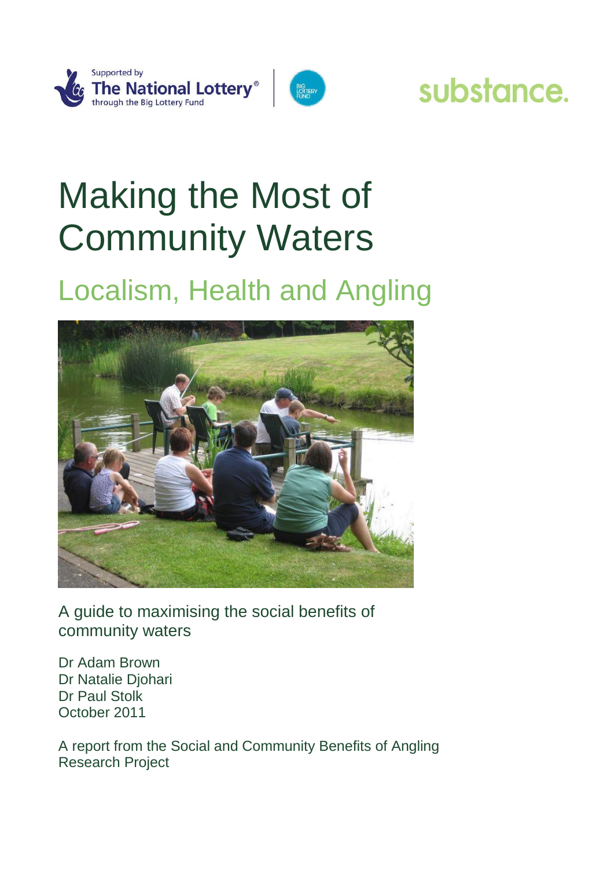

## substance.

# Making the Most of Community Waters

### Localism, Health and Angling



A guide to maximising the social benefits of community waters

Dr Adam Brown Dr Natalie Djohari Dr Paul Stolk October 2011

A report from the Social and Community Benefits of Angling Research Project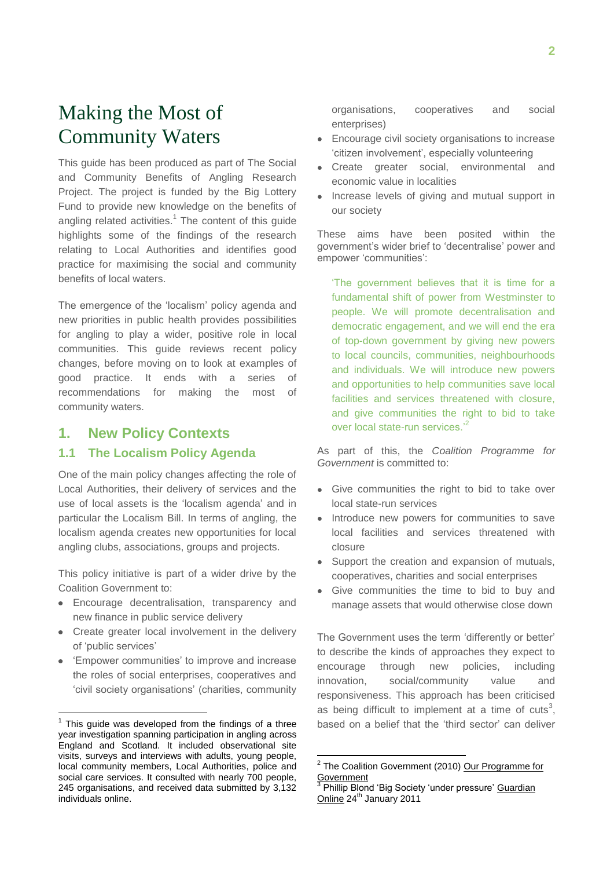### Making the Most of Community Waters

This guide has been produced as part of The Social and Community Benefits of Angling Research Project. The project is funded by the Big Lottery Fund to provide new knowledge on the benefits of angling related activities.<sup>1</sup> The content of this guide highlights some of the findings of the research relating to Local Authorities and identifies good practice for maximising the social and community benefits of local waters.

The emergence of the "localism" policy agenda and new priorities in public health provides possibilities for angling to play a wider, positive role in local communities. This guide reviews recent policy changes, before moving on to look at examples of good practice. It ends with a series of recommendations for making the most of community waters.

#### **1. New Policy Contexts**

#### **1.1 The Localism Policy Agenda**

One of the main policy changes affecting the role of Local Authorities, their delivery of services and the use of local assets is the "localism agenda" and in particular the Localism Bill. In terms of angling, the localism agenda creates new opportunities for local angling clubs, associations, groups and projects.

This policy initiative is part of a wider drive by the Coalition Government to:

- Encourage decentralisation, transparency and new finance in public service delivery
- Create greater local involvement in the delivery of "public services"
- 'Empower communities' to improve and increase the roles of social enterprises, cooperatives and "civil society organisations" (charities, community

 $\overline{a}$ 

organisations, cooperatives and social enterprises)

- Encourage civil society organisations to increase "citizen involvement", especially volunteering
- Create greater social, environmental and economic value in localities
- Increase levels of giving and mutual support in our society

These aims have been posited within the government"s wider brief to "decentralise" power and empower "communities":

"The government believes that it is time for a fundamental shift of power from Westminster to people. We will promote decentralisation and democratic engagement, and we will end the era of top-down government by giving new powers to local councils, communities, neighbourhoods and individuals. We will introduce new powers and opportunities to help communities save local facilities and services threatened with closure, and give communities the right to bid to take over local state-run services.<sup>2</sup>

As part of this, the *Coalition Programme for Government* is committed to:

- Give communities the right to bid to take over local state-run services
- Introduce new powers for communities to save local facilities and services threatened with closure
- Support the creation and expansion of mutuals, cooperatives, charities and social enterprises
- Give communities the time to bid to buy and manage assets that would otherwise close down

The Government uses the term "differently or better" to describe the kinds of approaches they expect to encourage through new policies, including innovation, social/community value and responsiveness. This approach has been criticised as being difficult to implement at a time of cuts<sup>3</sup>, based on a belief that the 'third sector' can deliver

 $1$  This guide was developed from the findings of a three year investigation spanning participation in angling across England and Scotland. It included observational site visits, surveys and interviews with adults, young people, local community members, Local Authorities, police and social care services. It consulted with nearly 700 people, 245 organisations, and received data submitted by 3,132 individuals online.

 2 The Coalition Government (2010) Our Programme for Government

<sup>&</sup>lt;sup>3</sup> Phillip Blond 'Big Society 'under pressure' Guardian Online 24<sup>th</sup> January 2011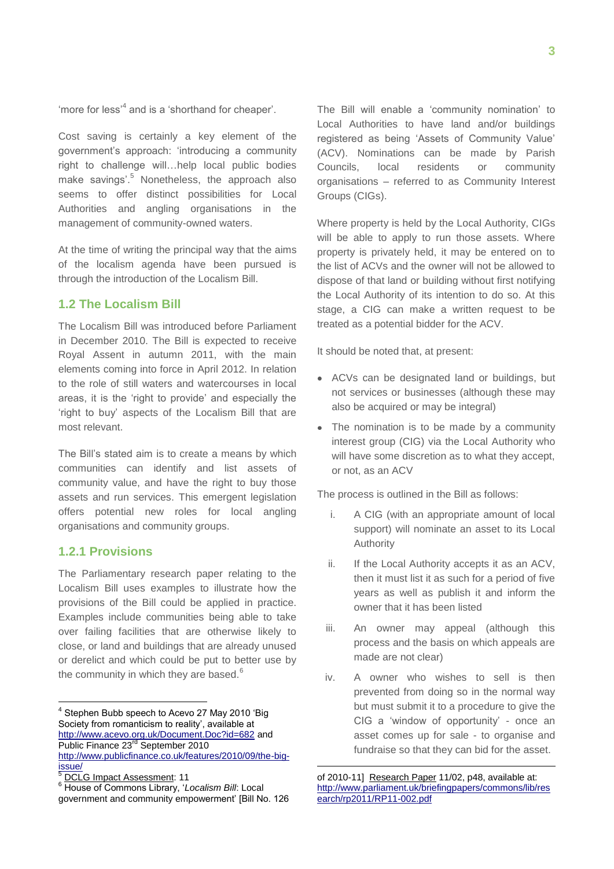'more for less<sup>,4</sup> and is a 'shorthand for cheaper'.

Cost saving is certainly a key element of the government"s approach: "introducing a community right to challenge will…help local public bodies make savings'.<sup>5</sup> Nonetheless, the approach also seems to offer distinct possibilities for Local Authorities and angling organisations in the management of community-owned waters.

At the time of writing the principal way that the aims of the localism agenda have been pursued is through the introduction of the Localism Bill.

#### **1.2 The Localism Bill**

The Localism Bill was introduced before Parliament in December 2010. The Bill is expected to receive Royal Assent in autumn 2011, with the main elements coming into force in April 2012. In relation to the role of still waters and watercourses in local areas, it is the "right to provide" and especially the 'right to buy' aspects of the Localism Bill that are most relevant.

The Bill"s stated aim is to create a means by which communities can identify and list assets of community value, and have the right to buy those assets and run services. This emergent legislation offers potential new roles for local angling organisations and community groups.

#### **1.2.1 Provisions**

The Parliamentary research paper relating to the Localism Bill uses examples to illustrate how the provisions of the Bill could be applied in practice. Examples include communities being able to take over failing facilities that are otherwise likely to close, or land and buildings that are already unused or derelict and which could be put to better use by the community in which they are based.<sup>6</sup>

The Bill will enable a 'community nomination' to Local Authorities to have land and/or buildings registered as being "Assets of Community Value" (ACV). Nominations can be made by Parish Councils, local residents or community organisations – referred to as Community Interest Groups (CIGs).

Where property is held by the Local Authority, CIGs will be able to apply to run those assets. Where property is privately held, it may be entered on to the list of ACVs and the owner will not be allowed to dispose of that land or building without first notifying the Local Authority of its intention to do so. At this stage, a CIG can make a written request to be treated as a potential bidder for the ACV.

It should be noted that, at present:

- ACVs can be designated land or buildings, but not services or businesses (although these may also be acquired or may be integral)
- The nomination is to be made by a community interest group (CIG) via the Local Authority who will have some discretion as to what they accept, or not, as an ACV

The process is outlined in the Bill as follows:

- i. A CIG (with an appropriate amount of local support) will nominate an asset to its Local Authority
- ii. If the Local Authority accepts it as an ACV, then it must list it as such for a period of five years as well as publish it and inform the owner that it has been listed
- iii. An owner may appeal (although this process and the basis on which appeals are made are not clear)
- iv. A owner who wishes to sell is then prevented from doing so in the normal way but must submit it to a procedure to give the CIG a "window of opportunity" - once an asset comes up for sale - to organise and fundraise so that they can bid for the asset.

<u>.</u>

 4 Stephen Bubb speech to Acevo 27 May 2010 "Big Society from romanticism to reality', available at <http://www.acevo.org.uk/Document.Doc?id=682> and Public Finance 23<sup>rd</sup> September 2010 [http://www.publicfinance.co.uk/features/2010/09/the-big](http://www.publicfinance.co.uk/features/2010/09/the-big-issue/)[issue/](http://www.publicfinance.co.uk/features/2010/09/the-big-issue/)

DCLG Impact Assessment: 11

<sup>6</sup> House of Commons Library, "*Localism Bill*: Local government and community empowerment" [Bill No. 126

of 2010-11] Research Paper 11/02, p48, available at: [http://www.parliament.uk/briefingpapers/commons/lib/res](http://www.parliament.uk/briefingpapers/commons/lib/research/rp2011/RP11-002.pdf) [earch/rp2011/RP11-002.pdf](http://www.parliament.uk/briefingpapers/commons/lib/research/rp2011/RP11-002.pdf)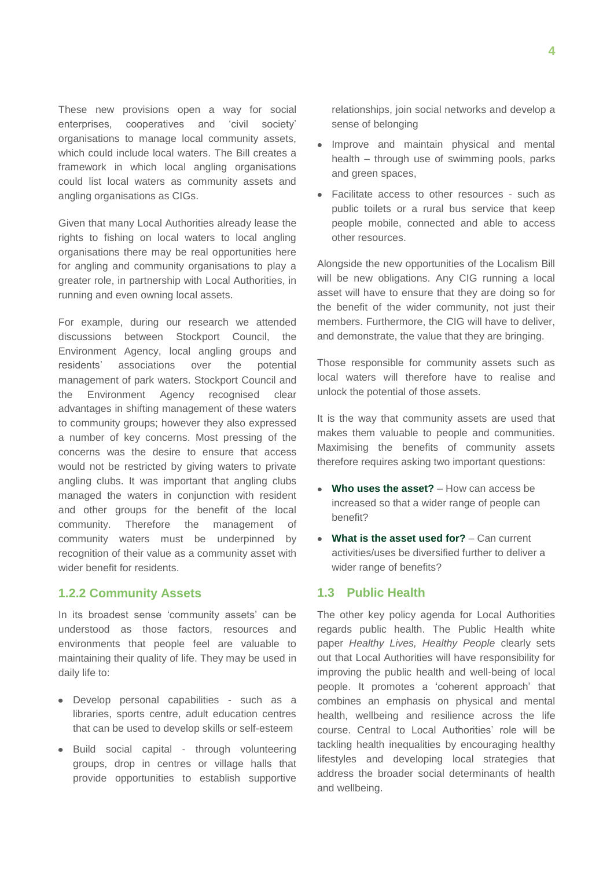These new provisions open a way for social enterprises, cooperatives and 'civil society' organisations to manage local community assets, which could include local waters. The Bill creates a framework in which local angling organisations could list local waters as community assets and angling organisations as CIGs.

Given that many Local Authorities already lease the rights to fishing on local waters to local angling organisations there may be real opportunities here for angling and community organisations to play a greater role, in partnership with Local Authorities, in running and even owning local assets.

For example, during our research we attended discussions between Stockport Council, the Environment Agency, local angling groups and residents" associations over the potential management of park waters. Stockport Council and the Environment Agency recognised clear advantages in shifting management of these waters to community groups; however they also expressed a number of key concerns. Most pressing of the concerns was the desire to ensure that access would not be restricted by giving waters to private angling clubs. It was important that angling clubs managed the waters in conjunction with resident and other groups for the benefit of the local community. Therefore the management of community waters must be underpinned by recognition of their value as a community asset with wider benefit for residents.

#### **1.2.2 Community Assets**

In its broadest sense 'community assets' can be understood as those factors, resources and environments that people feel are valuable to maintaining their quality of life. They may be used in daily life to:

- Develop personal capabilities such as a libraries, sports centre, adult education centres that can be used to develop skills or self-esteem
- Build social capital through volunteering groups, drop in centres or village halls that provide opportunities to establish supportive

relationships, join social networks and develop a sense of belonging

- Improve and maintain physical and mental health – through use of swimming pools, parks and green spaces,
- Facilitate access to other resources such as public toilets or a rural bus service that keep people mobile, connected and able to access other resources.

Alongside the new opportunities of the Localism Bill will be new obligations. Any CIG running a local asset will have to ensure that they are doing so for the benefit of the wider community, not just their members. Furthermore, the CIG will have to deliver, and demonstrate, the value that they are bringing.

Those responsible for community assets such as local waters will therefore have to realise and unlock the potential of those assets.

It is the way that community assets are used that makes them valuable to people and communities. Maximising the benefits of community assets therefore requires asking two important questions:

- **Who uses the asset?** How can access be increased so that a wider range of people can benefit?
- **What is the asset used for?**  Can current activities/uses be diversified further to deliver a wider range of benefits?

#### **1.3 Public Health**

The other key policy agenda for Local Authorities regards public health. The Public Health white paper *Healthy Lives, Healthy People* clearly sets out that Local Authorities will have responsibility for improving the public health and well-being of local people. It promotes a "coherent approach" that combines an emphasis on physical and mental health, wellbeing and resilience across the life course. Central to Local Authorities' role will be tackling health inequalities by encouraging healthy lifestyles and developing local strategies that address the broader social determinants of health and wellbeing.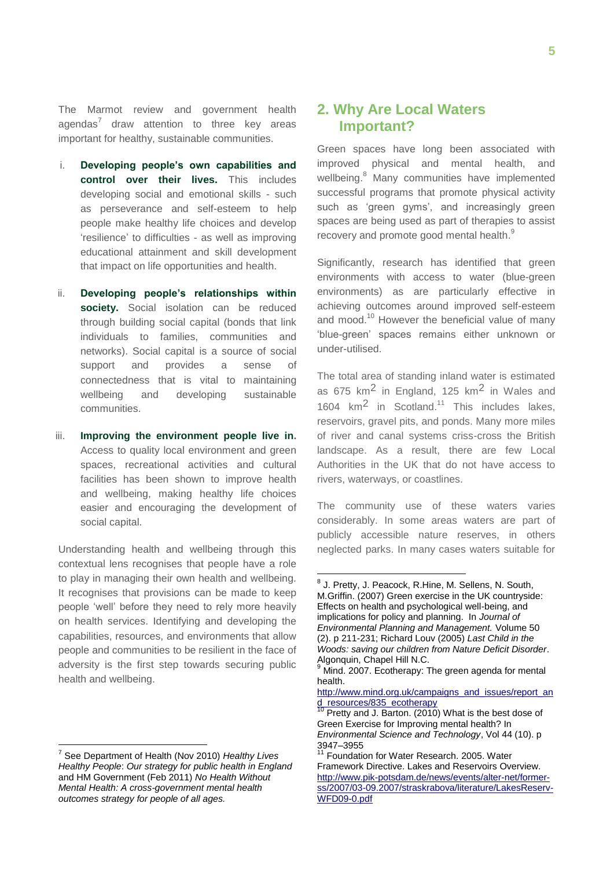The Marmot review and government health agendas<sup>7</sup> draw attention to three key areas important for healthy, sustainable communities.

- i. **Developing people's own capabilities and control over their lives.** This includes developing social and emotional skills - such as perseverance and self-esteem to help people make healthy life choices and develop 'resilience' to difficulties - as well as improving educational attainment and skill development that impact on life opportunities and health.
- ii. **Developing people's relationships within society.** Social isolation can be reduced through building social capital (bonds that link individuals to families, communities and networks). Social capital is a source of social support and provides a sense of connectedness that is vital to maintaining wellbeing and developing sustainable communities.
- iii. **Improving the environment people live in.** Access to quality local environment and green spaces, recreational activities and cultural facilities has been shown to improve health and wellbeing, making healthy life choices easier and encouraging the development of social capital.

Understanding health and wellbeing through this contextual lens recognises that people have a role to play in managing their own health and wellbeing. It recognises that provisions can be made to keep people "well" before they need to rely more heavily on health services. Identifying and developing the capabilities, resources, and environments that allow people and communities to be resilient in the face of adversity is the first step towards securing public health and wellbeing.

1

#### **2. Why Are Local Waters Important?**

Green spaces have long been associated with improved physical and mental health, and wellbeing.<sup>8</sup> Many communities have implemented successful programs that promote physical activity such as 'green gyms', and increasingly green spaces are being used as part of therapies to assist recovery and promote good mental health.<sup>9</sup>

Significantly, research has identified that green environments with access to water (blue-green environments) as are particularly effective in achieving outcomes around improved self-esteem and mood.<sup>10</sup> However the beneficial value of many "blue-green" spaces remains either unknown or under-utilised.

The total area of standing inland water is estimated as 675  $km^2$  in England, 125  $km^2$  in Wales and 1604  $km^2$  in Scotland.<sup>11</sup> This includes lakes, reservoirs, gravel pits, and ponds. Many more miles of river and canal systems criss-cross the British landscape. As a result, there are few Local Authorities in the UK that do not have access to rivers, waterways, or coastlines.

The community use of these waters varies considerably. In some areas waters are part of publicly accessible nature reserves, in others neglected parks. In many cases waters suitable for

<sup>7</sup> See Department of Health (Nov 2010) *Healthy Lives Healthy People*: *Our strategy for public health in England*  and HM Government (Feb 2011) *No Health Without Mental Health: A cross-government mental health outcomes strategy for people of all ages.*

<sup>1</sup> <sup>8</sup> J. Pretty, J. Peacock, R.Hine, M. Sellens, N. South, M.Griffin. (2007) Green exercise in the UK countryside: Effects on health and psychological well-being, and implications for policy and planning. In *Journal of Environmental Planning and Management.* Volume 50 (2). p 211-231; Richard Louv (2005) *Last Child in the Woods: saving our children from Nature Deficit Disorder*. Algonquin, Chapel Hill N.C.

 $9$  Mind. 2007. Ecotherapy: The green agenda for mental health.

[http://www.mind.org.uk/campaigns\\_and\\_issues/report\\_an](http://www.mind.org.uk/campaigns_and_issues/report_and_resources/835_ecotherapy) [d\\_resources/835\\_ecotherapy](http://www.mind.org.uk/campaigns_and_issues/report_and_resources/835_ecotherapy)

 $10$  Pretty and J. Barton. (2010) What is the best dose of Green Exercise for Improving mental health? In *Environmental Science and Technology*, Vol 44 (10). p 3947–3955

<sup>&</sup>lt;sup>11</sup> Foundation for Water Research. 2005. Water Framework Directive. Lakes and Reservoirs Overview. [http://www.pik-potsdam.de/news/events/alter-net/former](http://www.pik-potsdam.de/news/events/alter-net/former-ss/2007/03-09.2007/straskrabova/literature/LakesReserv-WFD09-0.pdf)[ss/2007/03-09.2007/straskrabova/literature/LakesReserv-](http://www.pik-potsdam.de/news/events/alter-net/former-ss/2007/03-09.2007/straskrabova/literature/LakesReserv-WFD09-0.pdf)[WFD09-0.pdf](http://www.pik-potsdam.de/news/events/alter-net/former-ss/2007/03-09.2007/straskrabova/literature/LakesReserv-WFD09-0.pdf)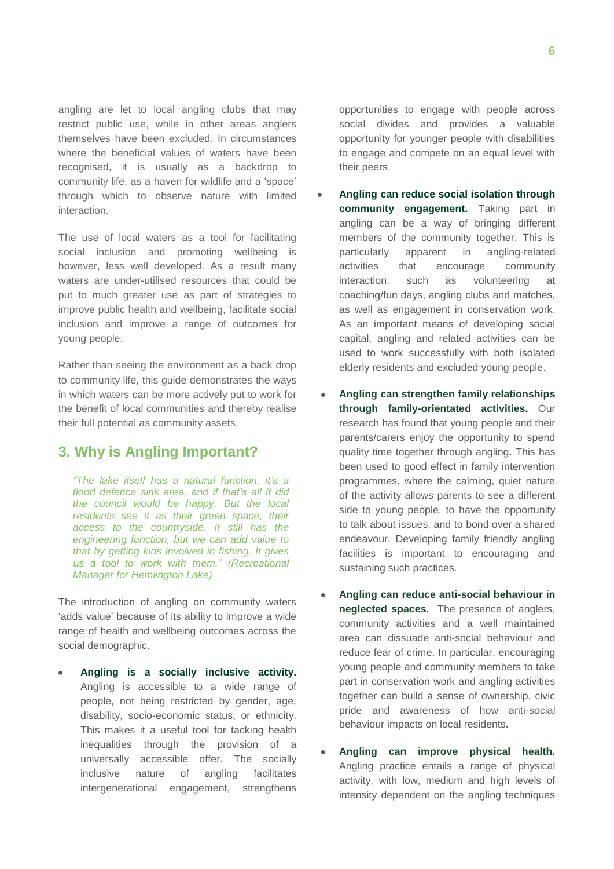angling are let to local angling clubs that may restrict public use, while in other areas anglers themselves have been excluded. In circumstances where the beneficial values of waters have been recognised, it is usually as a backdrop to community life, as a haven for wildlife and a "space" through which to observe nature with limited interaction.

The use of local waters as a tool for facilitating social inclusion and promoting wellbeing is however, less well developed. As a result many waters are under-utilised resources that could be put to much greater use as part of strategies to improve public health and wellbeing, facilitate social inclusion and improve a range of outcomes for young people.

Rather than seeing the environment as a back drop to community life, this guide demonstrates the ways in which waters can be more actively put to work for the benefit of local communities and thereby realise their full potential as community assets.

#### **3. Why is Angling Important?**

*"The lake itself has a natural function, it"s a flood defence sink area, and if that"s all it did the council would be happy. But the local residents see it as their green space, their access to the countryside. It still has the engineering function, but we can add value to that by getting kids involved in fishing. It gives us a tool to work with them." (Recreational Manager for Hemlington Lake)*

The introduction of angling on community waters "adds value" because of its ability to improve a wide range of health and wellbeing outcomes across the social demographic.

**Angling is a socially inclusive activity.** Angling is accessible to a wide range of people, not being restricted by gender, age, disability, socio-economic status, or ethnicity. This makes it a useful tool for tacking health inequalities through the provision of a universally accessible offer. The socially inclusive nature of angling facilitates intergenerational engagement, strengthens

opportunities to engage with people across social divides and provides a valuable opportunity for younger people with disabilities to engage and compete on an equal level with their peers.

- **Angling can reduce social isolation through community engagement.** Taking part in angling can be a way of bringing different members of the community together. This is particularly apparent in angling-related activities that encourage community interaction, such as volunteering at coaching/fun days, angling clubs and matches, as well as engagement in conservation work. As an important means of developing social capital, angling and related activities can be used to work successfully with both isolated elderly residents and excluded young people.
- **Angling can strengthen family relationships through family-orientated activities.** Our research has found that young people and their parents/carers enjoy the opportunity to spend quality time together through angling**.** This has been used to good effect in family intervention programmes, where the calming, quiet nature of the activity allows parents to see a different side to young people, to have the opportunity to talk about issues, and to bond over a shared endeavour. Developing family friendly angling facilities is important to encouraging and sustaining such practices.
- **Angling can reduce anti-social behaviour in neglected spaces.** The presence of anglers, community activities and a well maintained area can dissuade anti-social behaviour and reduce fear of crime. In particular, encouraging young people and community members to take part in conservation work and angling activities together can build a sense of ownership, civic pride and awareness of how anti-social behaviour impacts on local residents**.**
- **Angling can improve physical health.**  Angling practice entails a range of physical activity, with low, medium and high levels of intensity dependent on the angling techniques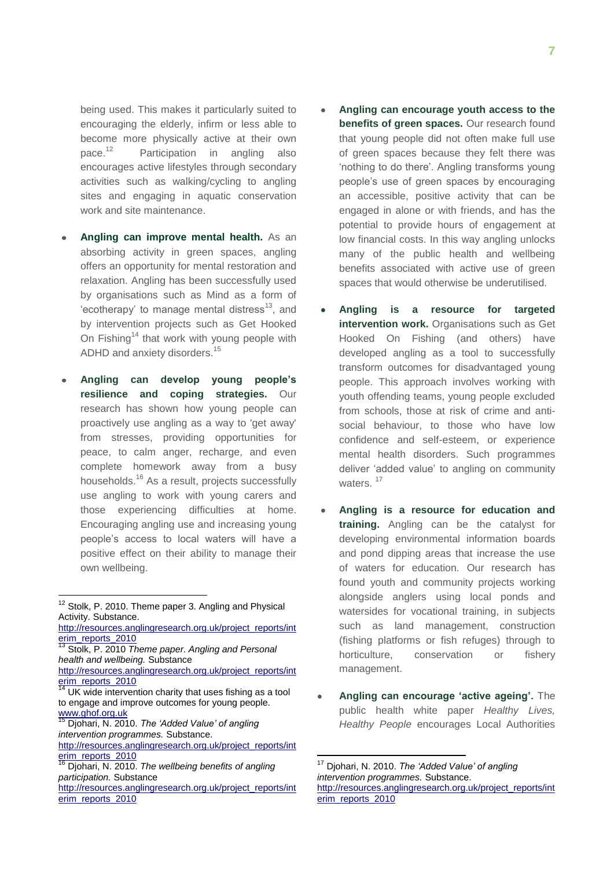being used. This makes it particularly suited to encouraging the elderly, infirm or less able to become more physically active at their own pace.<sup>12</sup> Participation in angling also encourages active lifestyles through secondary activities such as walking/cycling to angling sites and engaging in aquatic conservation work and site maintenance.

- **Angling can improve mental health.** As an absorbing activity in green spaces, angling offers an opportunity for mental restoration and relaxation. Angling has been successfully used by organisations such as Mind as a form of 'ecotherapy' to manage mental distress<sup>13</sup>, and by intervention projects such as Get Hooked On Fishing<sup>14</sup> that work with young people with ADHD and anxiety disorders.<sup>15</sup>
- **Angling can develop young people's resilience and coping strategies.** Our research has shown how young people can proactively use angling as a way to 'get away' from stresses, providing opportunities for peace, to calm anger, recharge, and even complete homework away from a busy households.<sup>16</sup> As a result, projects successfully use angling to work with young carers and those experiencing difficulties at home. Encouraging angling use and increasing young people"s access to local waters will have a positive effect on their ability to manage their own wellbeing.

1

- **Angling can encourage youth access to the benefits of green spaces.** Our research found that young people did not often make full use of green spaces because they felt there was "nothing to do there". Angling transforms young people"s use of green spaces by encouraging an accessible, positive activity that can be engaged in alone or with friends, and has the potential to provide hours of engagement at low financial costs. In this way angling unlocks many of the public health and wellbeing benefits associated with active use of green spaces that would otherwise be underutilised.
- **Angling is a resource for targeted intervention work.** Organisations such as Get Hooked On Fishing (and others) have developed angling as a tool to successfully transform outcomes for disadvantaged young people. This approach involves working with youth offending teams, young people excluded from schools, those at risk of crime and antisocial behaviour, to those who have low confidence and self-esteem, or experience mental health disorders. Such programmes deliver "added value" to angling on community waters.<sup>17</sup>
- **Angling is a resource for education and training.** Angling can be the catalyst for developing environmental information boards and pond dipping areas that increase the use of waters for education. Our research has found youth and community projects working alongside anglers using local ponds and watersides for vocational training, in subjects such as land management, construction (fishing platforms or fish refuges) through to horticulture, conservation or fishery management.
- **Angling can encourage 'active ageing'.** The public health white paper *Healthy Lives, Healthy People* encourages Local Authorities

 $\overline{\phantom{a}}$ 

<sup>&</sup>lt;sup>12</sup> Stolk, P. 2010. Theme paper 3. Angling and Physical Activity. Substance.

[http://resources.anglingresearch.org.uk/project\\_reports/int](http://resources.anglingresearch.org.uk/project_reports/interim_reports_2010) [erim\\_reports\\_2010](http://resources.anglingresearch.org.uk/project_reports/interim_reports_2010)

<sup>13</sup> Stolk, P. 2010 *Theme paper. Angling and Personal health and wellbeing.* Substance

[http://resources.anglingresearch.org.uk/project\\_reports/int](http://resources.anglingresearch.org.uk/project_reports/interim_reports_2010) [erim\\_reports\\_2010](http://resources.anglingresearch.org.uk/project_reports/interim_reports_2010)

UK wide intervention charity that uses fishing as a tool to engage and improve outcomes for young people. [www.ghof.org.uk](http://www.ghof.org.uk/)

<sup>15</sup> Djohari, N. 2010. *The "Added Value" of angling intervention programmes.* Substance.

[http://resources.anglingresearch.org.uk/project\\_reports/int](http://resources.anglingresearch.org.uk/project_reports/interim_reports_2010) [erim\\_reports\\_2010](http://resources.anglingresearch.org.uk/project_reports/interim_reports_2010)

<sup>16</sup> Djohari, N. 2010. *The wellbeing benefits of angling participation.* Substance

[http://resources.anglingresearch.org.uk/project\\_reports/int](http://resources.anglingresearch.org.uk/project_reports/interim_reports_2010) [erim\\_reports\\_2010](http://resources.anglingresearch.org.uk/project_reports/interim_reports_2010)

<sup>17</sup> Djohari, N. 2010. *The "Added Value" of angling intervention programmes.* Substance. [http://resources.anglingresearch.org.uk/project\\_reports/int](http://resources.anglingresearch.org.uk/project_reports/interim_reports_2010) [erim\\_reports\\_2010](http://resources.anglingresearch.org.uk/project_reports/interim_reports_2010)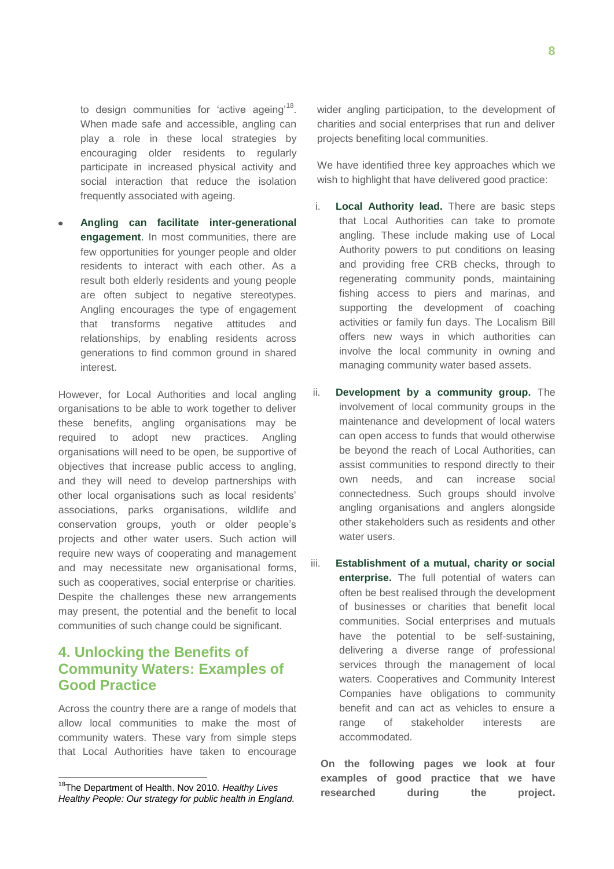to design communities for 'active ageing'<sup>18</sup>. When made safe and accessible, angling can play a role in these local strategies by encouraging older residents to regularly participate in increased physical activity and social interaction that reduce the isolation frequently associated with ageing.

**Angling can facilitate inter-generational engagement**. In most communities, there are few opportunities for younger people and older residents to interact with each other. As a result both elderly residents and young people are often subject to negative stereotypes. Angling encourages the type of engagement that transforms negative attitudes and relationships, by enabling residents across generations to find common ground in shared interest.

However, for Local Authorities and local angling organisations to be able to work together to deliver these benefits, angling organisations may be required to adopt new practices. Angling organisations will need to be open, be supportive of objectives that increase public access to angling, and they will need to develop partnerships with other local organisations such as local residents" associations, parks organisations, wildlife and conservation groups, youth or older people"s projects and other water users. Such action will require new ways of cooperating and management and may necessitate new organisational forms, such as cooperatives, social enterprise or charities. Despite the challenges these new arrangements may present, the potential and the benefit to local communities of such change could be significant.

#### **4. Unlocking the Benefits of Community Waters: Examples of Good Practice**

Across the country there are a range of models that allow local communities to make the most of community waters. These vary from simple steps that Local Authorities have taken to encourage

1

wider angling participation, to the development of charities and social enterprises that run and deliver projects benefiting local communities.

We have identified three key approaches which we wish to highlight that have delivered good practice:

- i. **Local Authority lead.** There are basic steps that Local Authorities can take to promote angling. These include making use of Local Authority powers to put conditions on leasing and providing free CRB checks, through to regenerating community ponds, maintaining fishing access to piers and marinas, and supporting the development of coaching activities or family fun days. The Localism Bill offers new ways in which authorities can involve the local community in owning and managing community water based assets.
- ii. **Development by a community group.** The involvement of local community groups in the maintenance and development of local waters can open access to funds that would otherwise be beyond the reach of Local Authorities, can assist communities to respond directly to their own needs, and can increase social connectedness. Such groups should involve angling organisations and anglers alongside other stakeholders such as residents and other water users.
- iii. **Establishment of a mutual, charity or social enterprise.** The full potential of waters can often be best realised through the development of businesses or charities that benefit local communities. Social enterprises and mutuals have the potential to be self-sustaining, delivering a diverse range of professional services through the management of local waters. Cooperatives and Community Interest Companies have obligations to community benefit and can act as vehicles to ensure a range of stakeholder interests are accommodated.

**On the following pages we look at four examples of good practice that we have researched during the project.**

<sup>18</sup>The Department of Health. Nov 2010. *Healthy Lives Healthy People: Our strategy for public health in England.*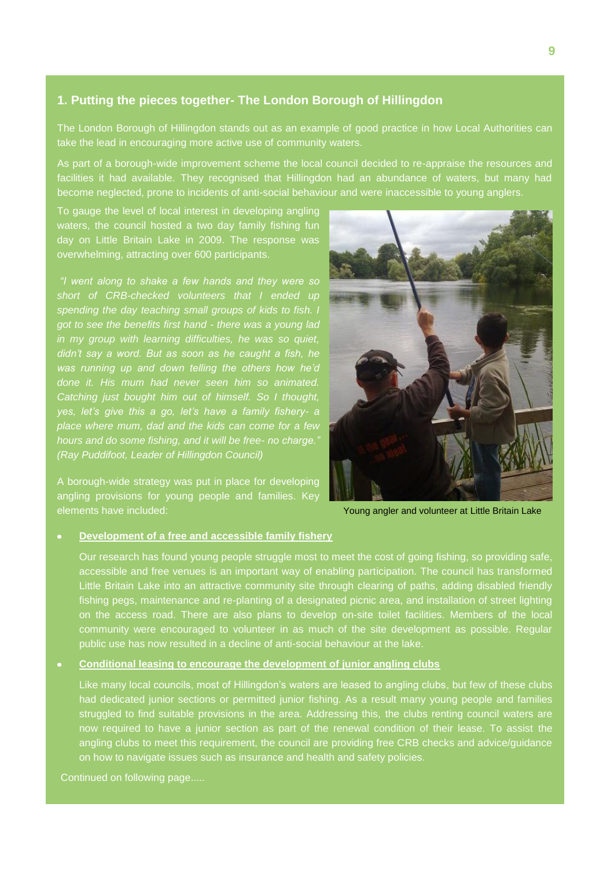#### **1. Putting the pieces together- The London Borough of Hillingdon**

The London Borough of Hillingdon stands out as an example of good practice in how Local Authorities can take the lead in encouraging more active use of community waters.

As part of a borough-wide improvement scheme the local council decided to re-appraise the resources and facilities it had available. They recognised that Hillingdon had an abundance of waters, but many had become neglected, prone to incidents of anti-social behaviour and were inaccessible to young anglers.

To gauge the level of local interest in developing angling waters, the council hosted a two day family fishing fun day on Little Britain Lake in 2009. The response was overwhelming, attracting over 600 participants.

*"I went along to shake a few hands and they were so short of CRB-checked volunteers that I ended up spending the day teaching small groups of kids to fish. I got to see the benefits first hand - there was a young lad in my group with learning difficulties, he was so quiet, didn"t say a word. But as soon as he caught a fish, he was running up and down telling the others how he"d done it. His mum had never seen him so animated. Catching just bought him out of himself. So I thought, yes, let"s give this a go, let"s have a family fishery- a place where mum, dad and the kids can come for a few hours and do some fishing, and it will be free- no charge." (Ray Puddifoot, Leader of Hillingdon Council)*

A borough-wide strategy was put in place for developing angling provisions for young people and families. Key elements have included:



Young angler and volunteer at Little Britain Lake

#### **Development of a free and accessible family fishery**

Our research has found young people struggle most to meet the cost of going fishing, so providing safe, accessible and free venues is an important way of enabling participation. The council has transformed Little Britain Lake into an attractive community site through clearing of paths, adding disabled friendly fishing pegs, maintenance and re-planting of a designated picnic area, and installation of street lighting on the access road. There are also plans to develop on-site toilet facilities. Members of the local community were encouraged to volunteer in as much of the site development as possible. Regular public use has now resulted in a decline of anti-social behaviour at the lake.

#### **Conditional leasing to encourage the development of junior angling clubs**

Like many local councils, most of Hillingdon's waters are leased to angling clubs, but few of these clubs had dedicated junior sections or permitted junior fishing. As a result many young people and families struggled to find suitable provisions in the area. Addressing this, the clubs renting council waters are now required to have a junior section as part of the renewal condition of their lease. To assist the angling clubs to meet this requirement, the council are providing free CRB checks and advice/guidance on how to navigate issues such as insurance and health and safety policies.

Continued on following page.....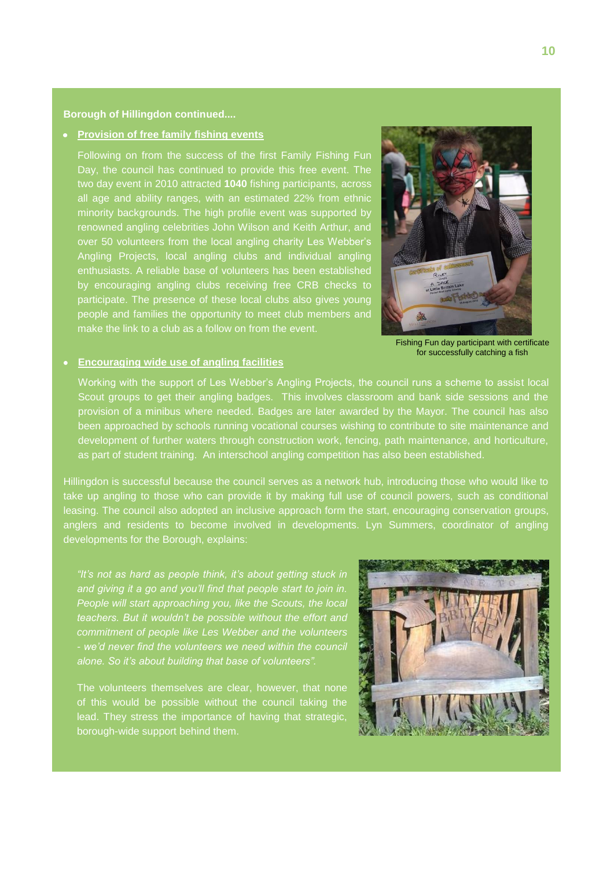#### **Borough of Hillingdon continued....**

#### **Provision of free family fishing events**

 make the link to a club as a follow on from the event. Following on from the success of the first Family Fishing Fun Day, the council has continued to provide this free event. The two day event in 2010 attracted **1040** fishing participants, across all age and ability ranges, with an estimated 22% from ethnic minority backgrounds. The high profile event was supported by renowned angling celebrities John Wilson and Keith Arthur, and over 50 volunteers from the local angling charity Les Webber"s Angling Projects, local angling clubs and individual angling enthusiasts. A reliable base of volunteers has been established by encouraging angling clubs receiving free CRB checks to participate. The presence of these local clubs also gives young people and families the opportunity to meet club members and



#### **Encouraging wide use of angling facilities**

Fishing Fun day participant with certificate for successfully catching a fish

Working with the support of Les Webber"s Angling Projects, the council runs a scheme to assist local Scout groups to get their angling badges. This involves classroom and bank side sessions and the provision of a minibus where needed. Badges are later awarded by the Mayor. The council has also been approached by schools running vocational courses wishing to contribute to site maintenance and development of further waters through construction work, fencing, path maintenance, and horticulture, as part of student training. An interschool angling competition has also been established.

Hillingdon is successful because the council serves as a network hub, introducing those who would like to take up angling to those who can provide it by making full use of council powers, such as conditional leasing. The council also adopted an inclusive approach form the start, encouraging conservation groups, anglers and residents to become involved in developments. Lyn Summers, coordinator of angling developments for the Borough, explains:

*"It"s not as hard as people think, it"s about getting stuck in and giving it a go and you"ll find that people start to join in. People will start approaching you, like the Scouts, the local teachers. But it wouldn"t be possible without the effort and commitment of people like Les Webber and the volunteers alone. So it"s about building that base of volunteers".*

The volunteers themselves are clear, however, that none of this would be possible without the council taking the lead. They stress the importance of having that strategic, borough-wide support behind them.

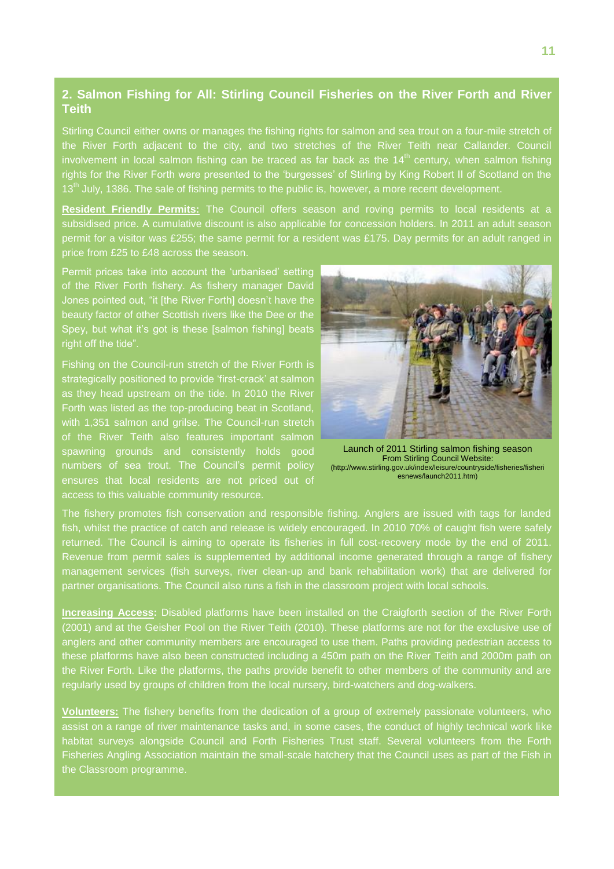#### **2. Salmon Fishing for All: Stirling Council Fisheries on the River Forth and River Teith**

Stirling Council either owns or manages the fishing rights for salmon and sea trout on a four-mile stretch of the River Forth adjacent to the city, and two stretches of the River Teith near Callander. Council involvement in local salmon fishing can be traced as far back as the  $14<sup>th</sup>$  century, when salmon fishing rights for the River Forth were presented to the "burgesses" of Stirling by King Robert II of Scotland on the 13<sup>th</sup> July, 1386. The sale of fishing permits to the public is, however, a more recent development.

**Resident Friendly Permits:** The Council offers season and roving permits to local residents at a subsidised price. A cumulative discount is also applicable for concession holders. In 2011 an adult season permit for a visitor was £255; the same permit for a resident was £175. Day permits for an adult ranged in price from £25 to £48 across the season.

Permit prices take into account the 'urbanised' setting of the River Forth fishery. As fishery manager David Jones pointed out, "it [the River Forth] doesn't have the beauty factor of other Scottish rivers like the Dee or the Spey, but what it's got is these [salmon fishing] beats right off the tide".

Fishing on the Council-run stretch of the River Forth is strategically positioned to provide 'first-crack' at salmon as they head upstream on the tide. In 2010 the River Forth was listed as the top-producing beat in Scotland, with 1,351 salmon and grilse. The Council-run stretch of the River Teith also features important salmon spawning grounds and consistently holds good numbers of sea trout. The Council's permit policy ensures that local residents are not priced out of access to this valuable community resource.



Launch of 2011 Stirling salmon fishing season From Stirling Council Website: (http://www.stirling.gov.uk/index/leisure/countryside/fisheries/fisheri esnews/launch2011.htm)

The fishery promotes fish conservation and responsible fishing. Anglers are issued with tags for landed fish, whilst the practice of catch and release is widely encouraged. In 2010 70% of caught fish were safely returned. The Council is aiming to operate its fisheries in full cost-recovery mode by the end of 2011. Revenue from permit sales is supplemented by additional income generated through a range of fishery management services (fish surveys, river clean-up and bank rehabilitation work) that are delivered for partner organisations. The Council also runs a fish in the classroom project with local schools.

**Increasing Access:** Disabled platforms have been installed on the Craigforth section of the River Forth (2001) and at the Geisher Pool on the River Teith (2010). These platforms are not for the exclusive use of anglers and other community members are encouraged to use them. Paths providing pedestrian access to these platforms have also been constructed including a 450m path on the River Teith and 2000m path on the River Forth. Like the platforms, the paths provide benefit to other members of the community and are regularly used by groups of children from the local nursery, bird-watchers and dog-walkers.

**Volunteers:** The fishery benefits from the dedication of a group of extremely passionate volunteers, who assist on a range of river maintenance tasks and, in some cases, the conduct of highly technical work like habitat surveys alongside Council and Forth Fisheries Trust staff. Several volunteers from the Forth Fisheries Angling Association maintain the small-scale hatchery that the Council uses as part of the Fish in the Classroom programme.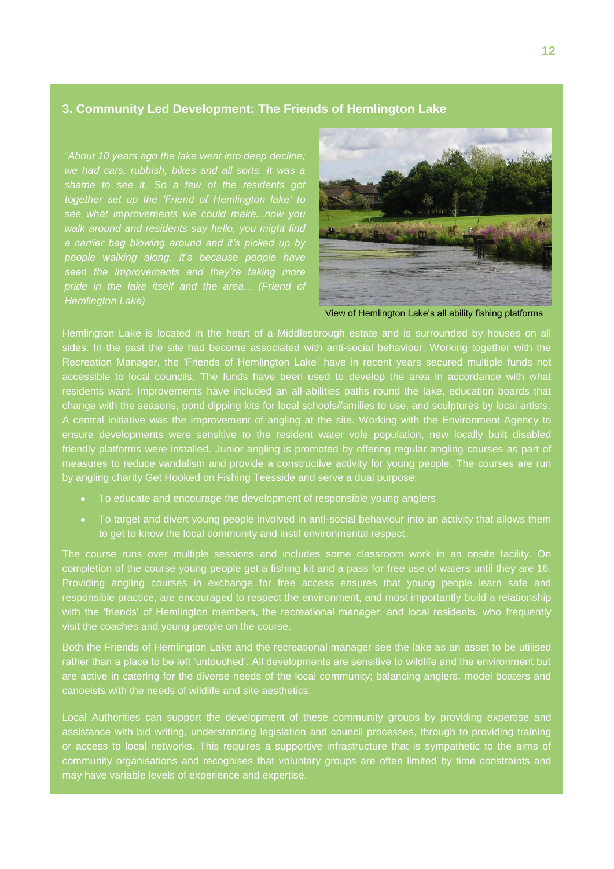#### **3. Community Led Development: The Friends of Hemlington Lake**

"*About 10 years ago the lake went into deep decline; we had cars, rubbish, bikes and all sorts. It was a shame to see it. So a few of the residents got together set up the "Friend of Hemlington lake" to walk around and residents say hello, you might find a carrier bag blowing around and it"s picked up by people walking along. It"s because people have seen the improvements and they"re taking more pride in the lake itself and the area*... *(Friend of Hemlington Lake)*



View of Hemlington Lake"s all ability fishing platforms

Hemlington Lake is located in the heart of a Middlesbrough estate and is surrounded by houses on all sides. In the past the site had become associated with anti-social behaviour. Working together with the Recreation Manager, the "Friends of Hemlington Lake" have in recent years secured multiple funds not accessible to local councils. The funds have been used to develop the area in accordance with what residents want. Improvements have included an all-abilities paths round the lake, education boards that change with the seasons, pond dipping kits for local schools/families to use, and sculptures by local artists. A central initiative was the improvement of angling at the site. Working with the Environment Agency to ensure developments were sensitive to the resident water vole population, new locally built disabled friendly platforms were installed. Junior angling is promoted by offering regular angling courses as part of measures to reduce vandalism and provide a constructive activity for young people. The courses are run by angling charity Get Hooked on Fishing Teesside and serve a dual purpose:

- To educate and encourage the development of responsible young anglers
- To target and divert young people involved in anti-social behaviour into an activity that allows them to get to know the local community and instil environmental respect.

The course runs over multiple sessions and includes some classroom work in an onsite facility. On completion of the course young people get a fishing kit and a pass for free use of waters until they are 16. Providing angling courses in exchange for free access ensures that young people learn safe and responsible practice, are encouraged to respect the environment, and most importantly build a relationship with the "friends" of Hemlington members, the recreational manager, and local residents, who frequently visit the coaches and young people on the course.

Both the Friends of Hemlington Lake and the recreational manager see the lake as an asset to be utilised rather than a place to be left "untouched". All developments are sensitive to wildlife and the environment but are active in catering for the diverse needs of the local community; balancing anglers, model boaters and canoeists with the needs of wildlife and site aesthetics.

Local Authorities can support the development of these community groups by providing expertise and assistance with bid writing, understanding legislation and council processes, through to providing training or access to local networks. This requires a supportive infrastructure that is sympathetic to the aims of community organisations and recognises that voluntary groups are often limited by time constraints and may have variable levels of experience and expertise.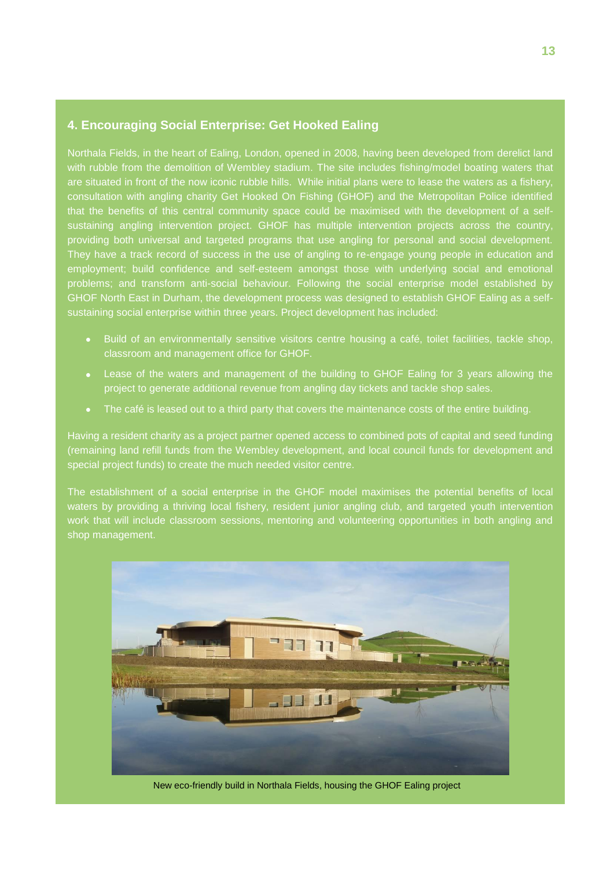#### **4. Encouraging Social Enterprise: Get Hooked Ealing**

Northala Fields, in the heart of Ealing, London, opened in 2008, having been developed from derelict land with rubble from the demolition of Wembley stadium. The site includes fishing/model boating waters that are situated in front of the now iconic rubble hills. While initial plans were to lease the waters as a fishery, consultation with angling charity Get Hooked On Fishing (GHOF) and the Metropolitan Police identified that the benefits of this central community space could be maximised with the development of a selfsustaining angling intervention project. GHOF has multiple intervention projects across the country, providing both universal and targeted programs that use angling for personal and social development. They have a track record of success in the use of angling to re-engage young people in education and employment; build confidence and self-esteem amongst those with underlying social and emotional problems; and transform anti-social behaviour. Following the social enterprise model established by GHOF North East in Durham, the development process was designed to establish GHOF Ealing as a selfsustaining social enterprise within three years. Project development has included:

- Build of an environmentally sensitive visitors centre housing a café, toilet facilities, tackle shop, classroom and management office for GHOF.
- Lease of the waters and management of the building to GHOF Ealing for 3 years allowing the project to generate additional revenue from angling day tickets and tackle shop sales.
- The café is leased out to a third party that covers the maintenance costs of the entire building.

Having a resident charity as a project partner opened access to combined pots of capital and seed funding (remaining land refill funds from the Wembley development, and local council funds for development and special project funds) to create the much needed visitor centre.

The establishment of a social enterprise in the GHOF model maximises the potential benefits of local waters by providing a thriving local fishery, resident junior angling club, and targeted youth intervention work that will include classroom sessions, mentoring and volunteering opportunities in both angling and shop management.



New eco-friendly build in Northala Fields, housing the GHOF Ealing project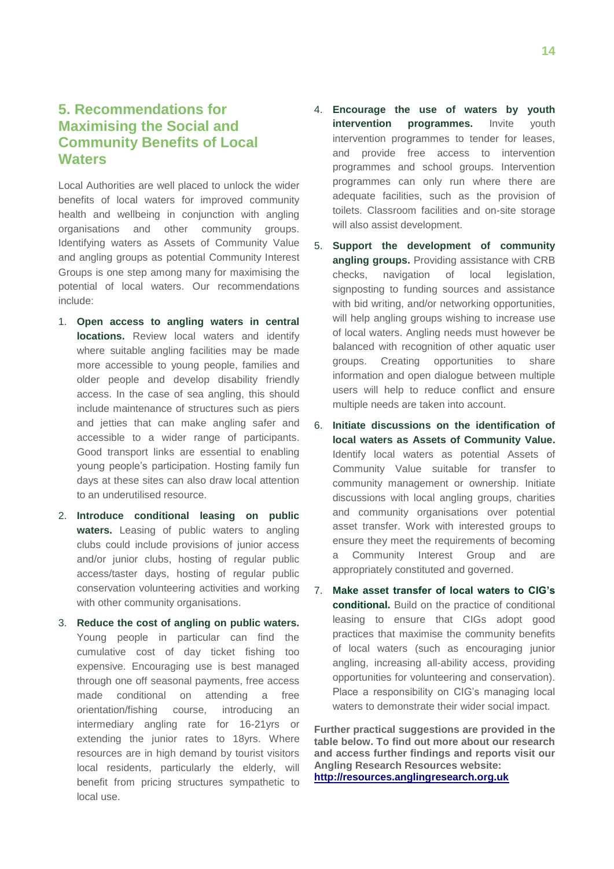#### **5. Recommendations for Maximising the Social and Community Benefits of Local Waters**

Local Authorities are well placed to unlock the wider benefits of local waters for improved community health and wellbeing in conjunction with angling organisations and other community groups. Identifying waters as Assets of Community Value and angling groups as potential Community Interest Groups is one step among many for maximising the potential of local waters. Our recommendations include:

- 1. **Open access to angling waters in central locations.** Review local waters and identify where suitable angling facilities may be made more accessible to young people, families and older people and develop disability friendly access. In the case of sea angling, this should include maintenance of structures such as piers and jetties that can make angling safer and accessible to a wider range of participants. Good transport links are essential to enabling young people"s participation. Hosting family fun days at these sites can also draw local attention to an underutilised resource.
- 2. **Introduce conditional leasing on public waters.** Leasing of public waters to angling clubs could include provisions of junior access and/or junior clubs, hosting of regular public access/taster days, hosting of regular public conservation volunteering activities and working with other community organisations.
- 3. **Reduce the cost of angling on public waters.** Young people in particular can find the cumulative cost of day ticket fishing too expensive. Encouraging use is best managed through one off seasonal payments, free access made conditional on attending a free orientation/fishing course, introducing an intermediary angling rate for 16-21yrs or extending the junior rates to 18yrs. Where resources are in high demand by tourist visitors local residents, particularly the elderly, will benefit from pricing structures sympathetic to local use.
- 4. **Encourage the use of waters by youth intervention programmes.** Invite youth intervention programmes to tender for leases, and provide free access to intervention programmes and school groups. Intervention programmes can only run where there are adequate facilities, such as the provision of toilets. Classroom facilities and on-site storage will also assist development.
- 5. **Support the development of community angling groups.** Providing assistance with CRB checks, navigation of local legislation, signposting to funding sources and assistance with bid writing, and/or networking opportunities, will help angling groups wishing to increase use of local waters. Angling needs must however be balanced with recognition of other aquatic user groups. Creating opportunities to share information and open dialogue between multiple users will help to reduce conflict and ensure multiple needs are taken into account.
- 6. **Initiate discussions on the identification of local waters as Assets of Community Value.**  Identify local waters as potential Assets of Community Value suitable for transfer to community management or ownership. Initiate discussions with local angling groups, charities and community organisations over potential asset transfer. Work with interested groups to ensure they meet the requirements of becoming a Community Interest Group and are appropriately constituted and governed.
- 7. **Make asset transfer of local waters to CIG's conditional.** Build on the practice of conditional leasing to ensure that CIGs adopt good practices that maximise the community benefits of local waters (such as encouraging junior angling, increasing all-ability access, providing opportunities for volunteering and conservation). Place a responsibility on CIG's managing local waters to demonstrate their wider social impact.

**Further practical suggestions are provided in the table below. To find out more about our research and access further findings and reports visit our Angling Research Resources website: [http://resources.anglingresearch.org.uk](http://resources.anglingresearch.org.uk/)**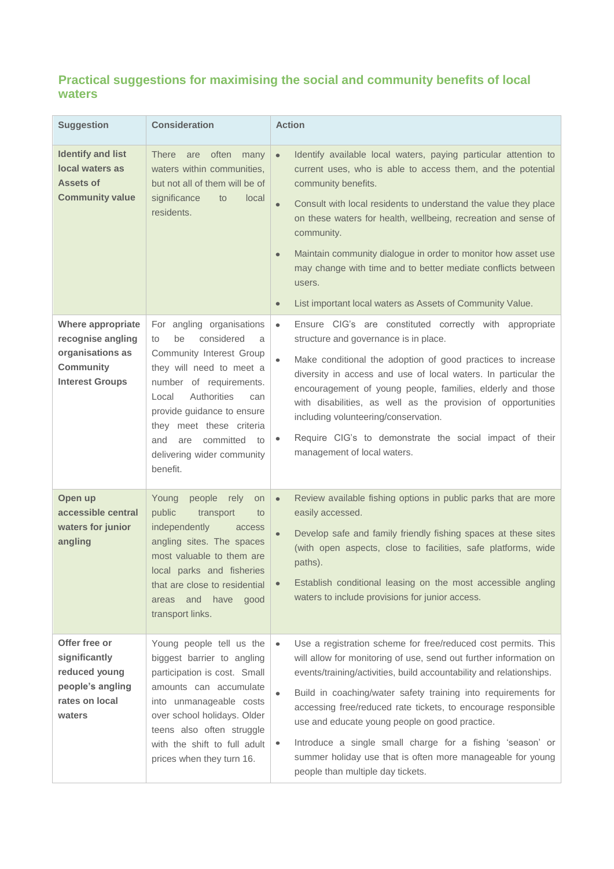#### **Practical suggestions for maximising the social and community benefits of local waters**

| <b>Suggestion</b>                                                                                        | <b>Consideration</b>                                                                                                                                                                                                                                                                                            | <b>Action</b>                                                                                                                                                                                                                                                                                                                                                                                                                                                                                                                                                                                |
|----------------------------------------------------------------------------------------------------------|-----------------------------------------------------------------------------------------------------------------------------------------------------------------------------------------------------------------------------------------------------------------------------------------------------------------|----------------------------------------------------------------------------------------------------------------------------------------------------------------------------------------------------------------------------------------------------------------------------------------------------------------------------------------------------------------------------------------------------------------------------------------------------------------------------------------------------------------------------------------------------------------------------------------------|
| <b>Identify and list</b><br>local waters as<br><b>Assets of</b><br><b>Community value</b>                | often<br><b>There</b><br>are<br>many<br>waters within communities,<br>but not all of them will be of<br>significance<br>to<br>local<br>residents.                                                                                                                                                               | Identify available local waters, paying particular attention to<br>$\bullet$<br>current uses, who is able to access them, and the potential<br>community benefits.<br>Consult with local residents to understand the value they place<br>$\bullet$<br>on these waters for health, wellbeing, recreation and sense of<br>community.<br>Maintain community dialogue in order to monitor how asset use<br>$\bullet$<br>may change with time and to better mediate conflicts between<br>users.<br>List important local waters as Assets of Community Value.<br>$\bullet$                         |
| Where appropriate<br>recognise angling<br>organisations as<br><b>Community</b><br><b>Interest Groups</b> | For angling organisations<br>considered<br>be<br>to<br>a<br>Community Interest Group<br>they will need to meet a<br>number of requirements.<br>Authorities<br>Local<br>can<br>provide guidance to ensure<br>they meet these criteria<br>committed<br>and<br>are<br>to<br>delivering wider community<br>benefit. | Ensure CIG's are constituted correctly with appropriate<br>$\bullet$<br>structure and governance is in place.<br>Make conditional the adoption of good practices to increase<br>$\bullet$<br>diversity in access and use of local waters. In particular the<br>encouragement of young people, families, elderly and those<br>with disabilities, as well as the provision of opportunities<br>including volunteering/conservation.<br>Require CIG's to demonstrate the social impact of their<br>۰<br>management of local waters.                                                             |
| Open up<br>accessible central<br>waters for junior<br>angling                                            | Young<br>people<br>rely<br><b>on</b><br>public<br>transport<br>to<br>independently<br>access<br>angling sites. The spaces<br>most valuable to them are<br>local parks and fisheries<br>that are close to residential<br>and have<br>good<br>areas<br>transport links.                                           | Review available fishing options in public parks that are more<br>$\bullet$<br>easily accessed.<br>Develop safe and family friendly fishing spaces at these sites<br>$\bullet$<br>(with open aspects, close to facilities, safe platforms, wide<br>paths).<br>Establish conditional leasing on the most accessible angling<br>waters to include provisions for junior access.                                                                                                                                                                                                                |
| Offer free or<br>significantly<br>reduced young<br>people's angling<br>rates on local<br>waters          | Young people tell us the<br>biggest barrier to angling<br>participation is cost. Small<br>amounts can accumulate<br>into unmanageable costs<br>over school holidays. Older<br>teens also often struggle<br>with the shift to full adult<br>prices when they turn 16.                                            | Use a registration scheme for free/reduced cost permits. This<br>$\bullet$<br>will allow for monitoring of use, send out further information on<br>events/training/activities, build accountability and relationships.<br>Build in coaching/water safety training into requirements for<br>$\bullet$<br>accessing free/reduced rate tickets, to encourage responsible<br>use and educate young people on good practice.<br>Introduce a single small charge for a fishing 'season' or<br>٠<br>summer holiday use that is often more manageable for young<br>people than multiple day tickets. |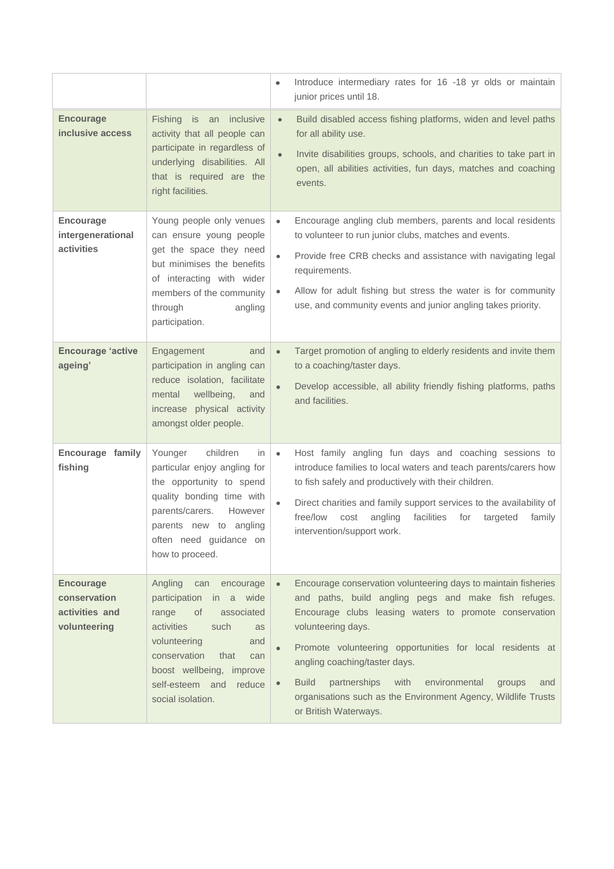|                                                                    |                                                                                                                                                                                                                                                        | Introduce intermediary rates for 16 -18 yr olds or maintain<br>$\bullet$<br>junior prices until 18.                                                                                                                                                                                                                                                                                                                                                                                                |
|--------------------------------------------------------------------|--------------------------------------------------------------------------------------------------------------------------------------------------------------------------------------------------------------------------------------------------------|----------------------------------------------------------------------------------------------------------------------------------------------------------------------------------------------------------------------------------------------------------------------------------------------------------------------------------------------------------------------------------------------------------------------------------------------------------------------------------------------------|
| <b>Encourage</b><br>inclusive access                               | Fishing is an inclusive<br>activity that all people can<br>participate in regardless of<br>underlying disabilities. All<br>that is required are the<br>right facilities.                                                                               | Build disabled access fishing platforms, widen and level paths<br>$\bullet$<br>for all ability use.<br>Invite disabilities groups, schools, and charities to take part in<br>$\bullet$<br>open, all abilities activities, fun days, matches and coaching<br>events.                                                                                                                                                                                                                                |
| <b>Encourage</b><br>intergenerational<br>activities                | Young people only venues<br>can ensure young people<br>get the space they need<br>but minimises the benefits<br>of interacting with wider<br>members of the community<br>through<br>angling<br>participation.                                          | Encourage angling club members, parents and local residents<br>$\bullet$<br>to volunteer to run junior clubs, matches and events.<br>Provide free CRB checks and assistance with navigating legal<br>$\bullet$<br>requirements.<br>Allow for adult fishing but stress the water is for community<br>۰<br>use, and community events and junior angling takes priority.                                                                                                                              |
| <b>Encourage 'active</b><br>ageing'                                | Engagement<br>and<br>participation in angling can<br>reduce isolation, facilitate<br>wellbeing,<br>mental<br>and<br>increase physical activity<br>amongst older people.                                                                                | Target promotion of angling to elderly residents and invite them<br>$\bullet$<br>to a coaching/taster days.<br>Develop accessible, all ability friendly fishing platforms, paths<br>$\bullet$<br>and facilities.                                                                                                                                                                                                                                                                                   |
| Encourage family<br>fishing                                        | children<br>Younger<br>in.<br>particular enjoy angling for<br>the opportunity to spend<br>quality bonding time with<br>parents/carers.<br>However<br>parents new to angling<br>often need guidance on<br>how to proceed.                               | Host family angling fun days and coaching sessions to<br>$\bullet$<br>introduce families to local waters and teach parents/carers how<br>to fish safely and productively with their children.<br>Direct charities and family support services to the availability of<br>$\bullet$<br>free/low<br>angling<br>facilities<br>cost<br>for<br>targeted<br>family<br>intervention/support work.                                                                                                          |
| <b>Encourage</b><br>conservation<br>activities and<br>volunteering | Angling<br>can<br>encourage<br>participation<br>in a wide<br>0f<br>associated<br>range<br>activities<br>such<br>as<br>volunteering<br>and<br>conservation<br>that<br>can<br>boost wellbeing, improve<br>self-esteem and<br>reduce<br>social isolation. | Encourage conservation volunteering days to maintain fisheries<br>$\bullet$<br>and paths, build angling pegs and make fish refuges.<br>Encourage clubs leasing waters to promote conservation<br>volunteering days.<br>Promote volunteering opportunities for local residents at<br>angling coaching/taster days.<br><b>Build</b><br>partnerships<br>with<br>environmental<br>groups<br>and<br>$\bullet$<br>organisations such as the Environment Agency, Wildlife Trusts<br>or British Waterways. |